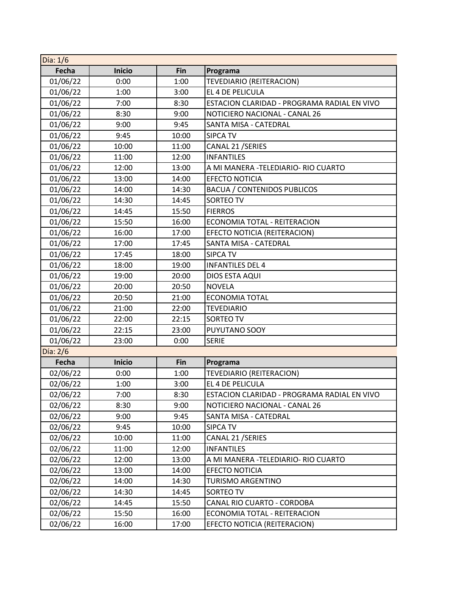| Día: $1/6$ |               |       |                                             |
|------------|---------------|-------|---------------------------------------------|
| Fecha      | <b>Inicio</b> | Fin   | Programa                                    |
| 01/06/22   | 0:00          | 1:00  | TEVEDIARIO (REITERACION)                    |
| 01/06/22   | 1:00          | 3:00  | EL 4 DE PELICULA                            |
| 01/06/22   | 7:00          | 8:30  | ESTACION CLARIDAD - PROGRAMA RADIAL EN VIVO |
| 01/06/22   | 8:30          | 9:00  | NOTICIERO NACIONAL - CANAL 26               |
| 01/06/22   | 9:00          | 9:45  | SANTA MISA - CATEDRAL                       |
| 01/06/22   | 9:45          | 10:00 | <b>SIPCA TV</b>                             |
| 01/06/22   | 10:00         | 11:00 | CANAL 21 / SERIES                           |
| 01/06/22   | 11:00         | 12:00 | <b>INFANTILES</b>                           |
| 01/06/22   | 12:00         | 13:00 | A MI MANERA -TELEDIARIO- RIO CUARTO         |
| 01/06/22   | 13:00         | 14:00 | <b>EFECTO NOTICIA</b>                       |
| 01/06/22   | 14:00         | 14:30 | <b>BACUA / CONTENIDOS PUBLICOS</b>          |
| 01/06/22   | 14:30         | 14:45 | <b>SORTEO TV</b>                            |
| 01/06/22   | 14:45         | 15:50 | <b>FIERROS</b>                              |
| 01/06/22   | 15:50         | 16:00 | ECONOMIA TOTAL - REITERACION                |
| 01/06/22   | 16:00         | 17:00 | EFECTO NOTICIA (REITERACION)                |
| 01/06/22   | 17:00         | 17:45 | SANTA MISA - CATEDRAL                       |
| 01/06/22   | 17:45         | 18:00 | <b>SIPCA TV</b>                             |
| 01/06/22   | 18:00         | 19:00 | <b>INFANTILES DEL 4</b>                     |
| 01/06/22   | 19:00         | 20:00 | DIOS ESTA AQUI                              |
| 01/06/22   | 20:00         | 20:50 | <b>NOVELA</b>                               |
| 01/06/22   | 20:50         | 21:00 | <b>ECONOMIA TOTAL</b>                       |
| 01/06/22   | 21:00         | 22:00 | <b>TEVEDIARIO</b>                           |
| 01/06/22   | 22:00         | 22:15 | SORTEO TV                                   |
| 01/06/22   | 22:15         | 23:00 | PUYUTANO SOOY                               |
| 01/06/22   | 23:00         | 0:00  | <b>SERIE</b>                                |
| Día: 2/6   |               |       |                                             |
| Fecha      | <b>Inicio</b> | Fin   | Programa                                    |
| 02/06/22   | 0:00          | 1:00  | TEVEDIARIO (REITERACION)                    |
| 02/06/22   | 1:00          | 3:00  | EL 4 DE PELICULA                            |
| 02/06/22   | 7:00          | 8:30  | ESTACION CLARIDAD - PROGRAMA RADIAL EN VIVO |
| 02/06/22   | 8:30          | 9:00  | NOTICIERO NACIONAL - CANAL 26               |
| 02/06/22   | 9:00          | 9:45  | SANTA MISA - CATEDRAL                       |
| 02/06/22   | 9:45          | 10:00 | <b>SIPCA TV</b>                             |
| 02/06/22   | 10:00         | 11:00 | CANAL 21 / SERIES                           |
| 02/06/22   | 11:00         | 12:00 | <b>INFANTILES</b>                           |
| 02/06/22   | 12:00         | 13:00 | A MI MANERA -TELEDIARIO- RIO CUARTO         |
| 02/06/22   | 13:00         | 14:00 | EFECTO NOTICIA                              |
| 02/06/22   | 14:00         | 14:30 | TURISMO ARGENTINO                           |
| 02/06/22   | 14:30         | 14:45 | SORTEO TV                                   |
| 02/06/22   | 14:45         | 15:50 | CANAL RIO CUARTO - CORDOBA                  |
| 02/06/22   | 15:50         | 16:00 | ECONOMIA TOTAL - REITERACION                |
| 02/06/22   | 16:00         | 17:00 | EFECTO NOTICIA (REITERACION)                |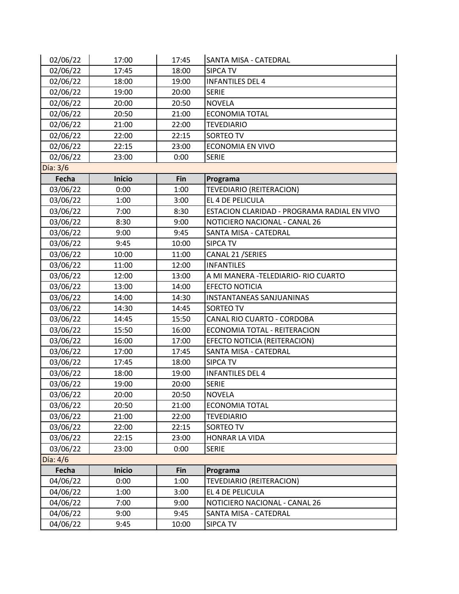| 02/06/22   | 17:00         | 17:45 | SANTA MISA - CATEDRAL                       |
|------------|---------------|-------|---------------------------------------------|
| 02/06/22   | 17:45         | 18:00 | <b>SIPCA TV</b>                             |
| 02/06/22   | 18:00         | 19:00 | <b>INFANTILES DEL 4</b>                     |
| 02/06/22   | 19:00         | 20:00 | <b>SERIE</b>                                |
| 02/06/22   | 20:00         | 20:50 | <b>NOVELA</b>                               |
| 02/06/22   | 20:50         | 21:00 | <b>ECONOMIA TOTAL</b>                       |
| 02/06/22   | 21:00         | 22:00 | <b>TEVEDIARIO</b>                           |
| 02/06/22   | 22:00         | 22:15 | <b>SORTEO TV</b>                            |
| 02/06/22   | 22:15         | 23:00 | <b>ECONOMIA EN VIVO</b>                     |
| 02/06/22   | 23:00         | 0:00  | <b>SERIE</b>                                |
| $Día: 3/6$ |               |       |                                             |
| Fecha      | <b>Inicio</b> | Fin   | Programa                                    |
| 03/06/22   | 0:00          | 1:00  | TEVEDIARIO (REITERACION)                    |
| 03/06/22   | 1:00          | 3:00  | EL 4 DE PELICULA                            |
| 03/06/22   | 7:00          | 8:30  | ESTACION CLARIDAD - PROGRAMA RADIAL EN VIVO |
| 03/06/22   | 8:30          | 9:00  | NOTICIERO NACIONAL - CANAL 26               |
| 03/06/22   | 9:00          | 9:45  | SANTA MISA - CATEDRAL                       |
| 03/06/22   | 9:45          | 10:00 | <b>SIPCA TV</b>                             |
| 03/06/22   | 10:00         | 11:00 | CANAL 21 / SERIES                           |
| 03/06/22   | 11:00         | 12:00 | <b>INFANTILES</b>                           |
| 03/06/22   | 12:00         | 13:00 | A MI MANERA - TELEDIARIO- RIO CUARTO        |
| 03/06/22   | 13:00         | 14:00 | <b>EFECTO NOTICIA</b>                       |
| 03/06/22   | 14:00         | 14:30 | INSTANTANEAS SANJUANINAS                    |
| 03/06/22   | 14:30         | 14:45 | SORTEO TV                                   |
| 03/06/22   | 14:45         | 15:50 | CANAL RIO CUARTO - CORDOBA                  |
| 03/06/22   | 15:50         | 16:00 | ECONOMIA TOTAL - REITERACION                |
| 03/06/22   | 16:00         | 17:00 | EFECTO NOTICIA (REITERACION)                |
| 03/06/22   | 17:00         | 17:45 | SANTA MISA - CATEDRAL                       |
| 03/06/22   | 17:45         | 18:00 | <b>SIPCA TV</b>                             |
| 03/06/22   | 18:00         | 19:00 | <b>INFANTILES DEL 4</b>                     |
| 03/06/22   | 19:00         | 20:00 | <b>SERIE</b>                                |
| 03/06/22   | 20:00         | 20:50 | <b>NOVELA</b>                               |
| 03/06/22   | 20:50         | 21:00 | <b>ECONOMIA TOTAL</b>                       |
| 03/06/22   | 21:00         | 22:00 | <b>TEVEDIARIO</b>                           |
| 03/06/22   | 22:00         | 22:15 | SORTEO TV                                   |
| 03/06/22   | 22:15         | 23:00 | HONRAR LA VIDA                              |
| 03/06/22   | 23:00         | 0:00  | <b>SERIE</b>                                |
| Día: 4/6   |               |       |                                             |
| Fecha      | Inicio        | Fin   | Programa                                    |
| 04/06/22   | 0:00          | 1:00  | TEVEDIARIO (REITERACION)                    |
| 04/06/22   | 1:00          | 3:00  | EL 4 DE PELICULA                            |
| 04/06/22   | 7:00          | 9:00  | NOTICIERO NACIONAL - CANAL 26               |
| 04/06/22   | 9:00          | 9:45  | SANTA MISA - CATEDRAL                       |
| 04/06/22   | 9:45          | 10:00 | <b>SIPCA TV</b>                             |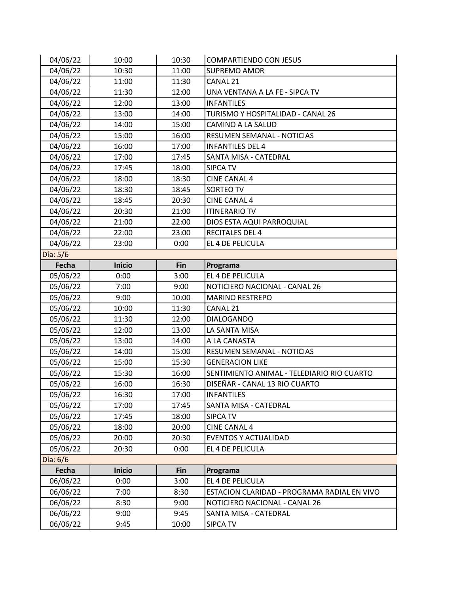| 04/06/22 | 10:00         | 10:30 | <b>COMPARTIENDO CON JESUS</b>               |
|----------|---------------|-------|---------------------------------------------|
| 04/06/22 | 10:30         | 11:00 | <b>SUPREMO AMOR</b>                         |
| 04/06/22 | 11:00         | 11:30 | CANAL 21                                    |
| 04/06/22 | 11:30         | 12:00 | UNA VENTANA A LA FE - SIPCA TV              |
| 04/06/22 | 12:00         | 13:00 | <b>INFANTILES</b>                           |
| 04/06/22 | 13:00         | 14:00 | TURISMO Y HOSPITALIDAD - CANAL 26           |
| 04/06/22 | 14:00         | 15:00 | CAMINO A LA SALUD                           |
| 04/06/22 | 15:00         | 16:00 | RESUMEN SEMANAL - NOTICIAS                  |
| 04/06/22 | 16:00         | 17:00 | <b>INFANTILES DEL 4</b>                     |
| 04/06/22 | 17:00         | 17:45 | SANTA MISA - CATEDRAL                       |
| 04/06/22 | 17:45         | 18:00 | <b>SIPCA TV</b>                             |
| 04/06/22 | 18:00         | 18:30 | <b>CINE CANAL 4</b>                         |
| 04/06/22 | 18:30         | 18:45 | SORTEO TV                                   |
| 04/06/22 | 18:45         | 20:30 | <b>CINE CANAL 4</b>                         |
| 04/06/22 | 20:30         | 21:00 | <b>ITINERARIO TV</b>                        |
| 04/06/22 | 21:00         | 22:00 | DIOS ESTA AQUI PARROQUIAL                   |
| 04/06/22 | 22:00         | 23:00 | <b>RECITALES DEL 4</b>                      |
| 04/06/22 | 23:00         | 0:00  | EL 4 DE PELICULA                            |
| Día: 5/6 |               |       |                                             |
| Fecha    | <b>Inicio</b> | Fin   | Programa                                    |
| 05/06/22 | 0:00          | 3:00  | EL 4 DE PELICULA                            |
| 05/06/22 | 7:00          | 9:00  | NOTICIERO NACIONAL - CANAL 26               |
| 05/06/22 |               |       | <b>MARINO RESTREPO</b>                      |
|          | 9:00          | 10:00 |                                             |
| 05/06/22 | 10:00         | 11:30 | CANAL 21                                    |
| 05/06/22 | 11:30         | 12:00 | <b>DIALOGANDO</b>                           |
| 05/06/22 | 12:00         | 13:00 | LA SANTA MISA                               |
| 05/06/22 | 13:00         | 14:00 | A LA CANASTA                                |
| 05/06/22 | 14:00         | 15:00 | RESUMEN SEMANAL - NOTICIAS                  |
| 05/06/22 | 15:00         | 15:30 | <b>GENERACION LIKE</b>                      |
| 05/06/22 | 15:30         | 16:00 | SENTIMIENTO ANIMAL - TELEDIARIO RIO CUARTO  |
| 05/06/22 | 16:00         | 16:30 | DISEÑAR - CANAL 13 RIO CUARTO               |
| 05/06/22 | 16:30         | 17:00 | <b>INFANTILES</b>                           |
| 05/06/22 | 17:00         | 17:45 | SANTA MISA - CATEDRAL                       |
| 05/06/22 | 17:45         | 18:00 | <b>SIPCA TV</b>                             |
| 05/06/22 | 18:00         | 20:00 | <b>CINE CANAL 4</b>                         |
| 05/06/22 | 20:00         | 20:30 | <b>EVENTOS Y ACTUALIDAD</b>                 |
| 05/06/22 | 20:30         | 0:00  | EL 4 DE PELICULA                            |
| Día: 6/6 |               |       |                                             |
| Fecha    | Inicio        | Fin   | Programa                                    |
| 06/06/22 | 0:00          | 3:00  | EL 4 DE PELICULA                            |
| 06/06/22 | 7:00          | 8:30  | ESTACION CLARIDAD - PROGRAMA RADIAL EN VIVO |
| 06/06/22 | 8:30          | 9:00  | NOTICIERO NACIONAL - CANAL 26               |
| 06/06/22 | 9:00          | 9:45  | SANTA MISA - CATEDRAL                       |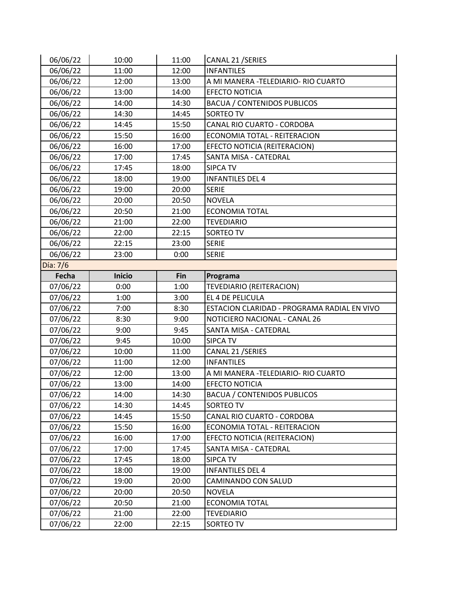| 06/06/22 | 10:00         | 11:00      | CANAL 21 / SERIES                           |
|----------|---------------|------------|---------------------------------------------|
| 06/06/22 | 11:00         | 12:00      | <b>INFANTILES</b>                           |
| 06/06/22 | 12:00         | 13:00      | A MI MANERA - TELEDIARIO- RIO CUARTO        |
| 06/06/22 | 13:00         | 14:00      | <b>EFECTO NOTICIA</b>                       |
| 06/06/22 | 14:00         | 14:30      | <b>BACUA / CONTENIDOS PUBLICOS</b>          |
| 06/06/22 | 14:30         | 14:45      | SORTEO TV                                   |
| 06/06/22 | 14:45         | 15:50      | CANAL RIO CUARTO - CORDOBA                  |
| 06/06/22 | 15:50         | 16:00      | ECONOMIA TOTAL - REITERACION                |
| 06/06/22 | 16:00         | 17:00      | EFECTO NOTICIA (REITERACION)                |
| 06/06/22 | 17:00         | 17:45      | SANTA MISA - CATEDRAL                       |
| 06/06/22 | 17:45         | 18:00      | <b>SIPCA TV</b>                             |
| 06/06/22 | 18:00         | 19:00      | <b>INFANTILES DEL 4</b>                     |
| 06/06/22 | 19:00         | 20:00      | <b>SERIE</b>                                |
| 06/06/22 | 20:00         | 20:50      | <b>NOVELA</b>                               |
| 06/06/22 | 20:50         | 21:00      | <b>ECONOMIA TOTAL</b>                       |
| 06/06/22 | 21:00         | 22:00      | <b>TEVEDIARIO</b>                           |
| 06/06/22 | 22:00         | 22:15      | SORTEO TV                                   |
| 06/06/22 | 22:15         | 23:00      | <b>SERIE</b>                                |
| 06/06/22 | 23:00         | 0:00       | <b>SERIE</b>                                |
| Día: 7/6 |               |            |                                             |
| Fecha    | <b>Inicio</b> | <b>Fin</b> | Programa                                    |
| 07/06/22 | 0:00          | 1:00       | <b>TEVEDIARIO (REITERACION)</b>             |
|          |               |            |                                             |
| 07/06/22 | 1:00          | 3:00       | EL 4 DE PELICULA                            |
| 07/06/22 | 7:00          | 8:30       | ESTACION CLARIDAD - PROGRAMA RADIAL EN VIVO |
| 07/06/22 | 8:30          | 9:00       | NOTICIERO NACIONAL - CANAL 26               |
| 07/06/22 | 9:00          | 9:45       | SANTA MISA - CATEDRAL                       |
| 07/06/22 | 9:45          | 10:00      | <b>SIPCA TV</b>                             |
| 07/06/22 | 10:00         | 11:00      | CANAL 21 / SERIES                           |
| 07/06/22 | 11:00         | 12:00      | <b>INFANTILES</b>                           |
| 07/06/22 | 12:00         | 13:00      | A MI MANERA - TELEDIARIO- RIO CUARTO        |
| 07/06/22 | 13:00         | 14:00      | <b>EFECTO NOTICIA</b>                       |
| 07/06/22 | 14:00         | 14:30      | <b>BACUA / CONTENIDOS PUBLICOS</b>          |
| 07/06/22 | 14:30         | 14:45      | SORTEO TV                                   |
| 07/06/22 | 14:45         | 15:50      | CANAL RIO CUARTO - CORDOBA                  |
| 07/06/22 | 15:50         | 16:00      | ECONOMIA TOTAL - REITERACION                |
| 07/06/22 | 16:00         | 17:00      | EFECTO NOTICIA (REITERACION)                |
| 07/06/22 | 17:00         | 17:45      | SANTA MISA - CATEDRAL                       |
| 07/06/22 | 17:45         | 18:00      | <b>SIPCA TV</b>                             |
| 07/06/22 | 18:00         | 19:00      | <b>INFANTILES DEL 4</b>                     |
| 07/06/22 | 19:00         | 20:00      | CAMINANDO CON SALUD                         |
| 07/06/22 | 20:00         | 20:50      | <b>NOVELA</b>                               |
| 07/06/22 | 20:50         | 21:00      | <b>ECONOMIA TOTAL</b>                       |
| 07/06/22 | 21:00         | 22:00      | <b>TEVEDIARIO</b>                           |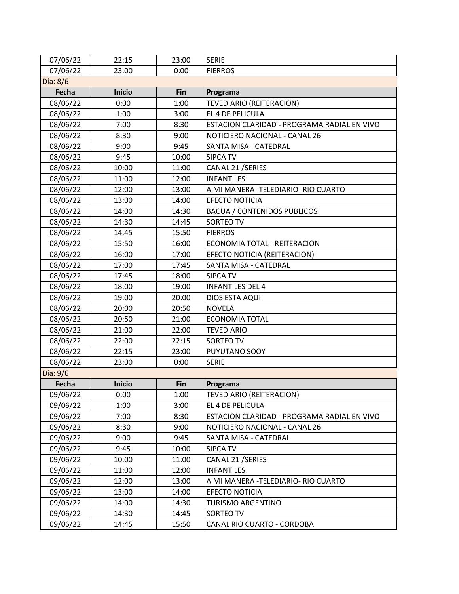| 07/06/22 | 22:15         | 23:00 | <b>SERIE</b>                                |
|----------|---------------|-------|---------------------------------------------|
| 07/06/22 | 23:00         | 0:00  | <b>FIERROS</b>                              |
| Día: 8/6 |               |       |                                             |
| Fecha    | <b>Inicio</b> | Fin   | Programa                                    |
| 08/06/22 | 0:00          | 1:00  | TEVEDIARIO (REITERACION)                    |
| 08/06/22 | 1:00          | 3:00  | EL 4 DE PELICULA                            |
| 08/06/22 | 7:00          | 8:30  | ESTACION CLARIDAD - PROGRAMA RADIAL EN VIVO |
| 08/06/22 | 8:30          | 9:00  | NOTICIERO NACIONAL - CANAL 26               |
| 08/06/22 | 9:00          | 9:45  | SANTA MISA - CATEDRAL                       |
| 08/06/22 | 9:45          | 10:00 | <b>SIPCA TV</b>                             |
| 08/06/22 | 10:00         | 11:00 | CANAL 21 / SERIES                           |
| 08/06/22 | 11:00         | 12:00 | <b>INFANTILES</b>                           |
| 08/06/22 | 12:00         | 13:00 | A MI MANERA - TELEDIARIO- RIO CUARTO        |
| 08/06/22 | 13:00         | 14:00 | <b>EFECTO NOTICIA</b>                       |
| 08/06/22 | 14:00         | 14:30 | <b>BACUA / CONTENIDOS PUBLICOS</b>          |
| 08/06/22 | 14:30         | 14:45 | SORTEO TV                                   |
| 08/06/22 | 14:45         | 15:50 | <b>FIERROS</b>                              |
| 08/06/22 | 15:50         | 16:00 | ECONOMIA TOTAL - REITERACION                |
| 08/06/22 | 16:00         | 17:00 | EFECTO NOTICIA (REITERACION)                |
| 08/06/22 | 17:00         | 17:45 | SANTA MISA - CATEDRAL                       |
| 08/06/22 | 17:45         | 18:00 | <b>SIPCA TV</b>                             |
| 08/06/22 | 18:00         | 19:00 | <b>INFANTILES DEL 4</b>                     |
| 08/06/22 | 19:00         | 20:00 | DIOS ESTA AQUI                              |
| 08/06/22 | 20:00         | 20:50 | <b>NOVELA</b>                               |
| 08/06/22 | 20:50         | 21:00 | <b>ECONOMIA TOTAL</b>                       |
| 08/06/22 | 21:00         | 22:00 | <b>TEVEDIARIO</b>                           |
| 08/06/22 | 22:00         | 22:15 | SORTEO TV                                   |
| 08/06/22 | 22:15         | 23:00 | PUYUTANO SOOY                               |
| 08/06/22 | 23:00         | 0:00  | <b>SERIE</b>                                |
| Día: 9/6 |               |       |                                             |
| Fecha    | <b>Inicio</b> | Fin   | Programa                                    |
| 09/06/22 | 0:00          | 1:00  | TEVEDIARIO (REITERACION)                    |
| 09/06/22 | 1:00          | 3:00  | EL 4 DE PELICULA                            |
| 09/06/22 | 7:00          | 8:30  | ESTACION CLARIDAD - PROGRAMA RADIAL EN VIVO |
| 09/06/22 | 8:30          | 9:00  | NOTICIERO NACIONAL - CANAL 26               |
| 09/06/22 | 9:00          | 9:45  | SANTA MISA - CATEDRAL                       |
| 09/06/22 | 9:45          | 10:00 | <b>SIPCA TV</b>                             |
| 09/06/22 | 10:00         | 11:00 | CANAL 21 / SERIES                           |
| 09/06/22 | 11:00         | 12:00 | <b>INFANTILES</b>                           |
| 09/06/22 | 12:00         | 13:00 | A MI MANERA -TELEDIARIO- RIO CUARTO         |
| 09/06/22 | 13:00         | 14:00 | EFECTO NOTICIA                              |
| 09/06/22 | 14:00         | 14:30 | <b>TURISMO ARGENTINO</b>                    |
| 09/06/22 | 14:30         | 14:45 | SORTEO TV                                   |
| 09/06/22 | 14:45         | 15:50 | CANAL RIO CUARTO - CORDOBA                  |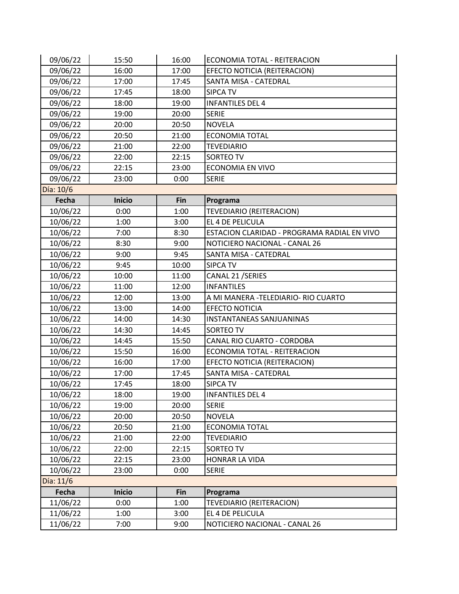| 09/06/22    | 15:50         | 16:00 | ECONOMIA TOTAL - REITERACION                |
|-------------|---------------|-------|---------------------------------------------|
| 09/06/22    | 16:00         | 17:00 | EFECTO NOTICIA (REITERACION)                |
| 09/06/22    | 17:00         | 17:45 | SANTA MISA - CATEDRAL                       |
| 09/06/22    | 17:45         | 18:00 | <b>SIPCA TV</b>                             |
| 09/06/22    | 18:00         | 19:00 | <b>INFANTILES DEL 4</b>                     |
| 09/06/22    | 19:00         | 20:00 | <b>SERIE</b>                                |
| 09/06/22    | 20:00         | 20:50 | <b>NOVELA</b>                               |
| 09/06/22    | 20:50         | 21:00 | <b>ECONOMIA TOTAL</b>                       |
| 09/06/22    | 21:00         | 22:00 | <b>TEVEDIARIO</b>                           |
| 09/06/22    | 22:00         | 22:15 | <b>SORTEO TV</b>                            |
| 09/06/22    | 22:15         | 23:00 | <b>ECONOMIA EN VIVO</b>                     |
| 09/06/22    | 23:00         | 0:00  | <b>SERIE</b>                                |
| Día: 10/6   |               |       |                                             |
| Fecha       | <b>Inicio</b> | Fin   | Programa                                    |
| 10/06/22    | 0:00          | 1:00  | TEVEDIARIO (REITERACION)                    |
| 10/06/22    | 1:00          | 3:00  | EL 4 DE PELICULA                            |
| 10/06/22    | 7:00          | 8:30  | ESTACION CLARIDAD - PROGRAMA RADIAL EN VIVO |
| 10/06/22    | 8:30          | 9:00  | NOTICIERO NACIONAL - CANAL 26               |
| 10/06/22    | 9:00          | 9:45  | SANTA MISA - CATEDRAL                       |
| 10/06/22    | 9:45          | 10:00 | <b>SIPCA TV</b>                             |
| 10/06/22    | 10:00         | 11:00 | CANAL 21 / SERIES                           |
| 10/06/22    | 11:00         | 12:00 | <b>INFANTILES</b>                           |
| 10/06/22    | 12:00         | 13:00 | A MI MANERA -TELEDIARIO- RIO CUARTO         |
| 10/06/22    | 13:00         | 14:00 | <b>EFECTO NOTICIA</b>                       |
| 10/06/22    | 14:00         | 14:30 | <b>INSTANTANEAS SANJUANINAS</b>             |
| 10/06/22    | 14:30         | 14:45 | SORTEO TV                                   |
| 10/06/22    | 14:45         | 15:50 | CANAL RIO CUARTO - CORDOBA                  |
| 10/06/22    | 15:50         | 16:00 | ECONOMIA TOTAL - REITERACION                |
| 10/06/22    | 16:00         | 17:00 | EFECTO NOTICIA (REITERACION)                |
| 10/06/22    | 17:00         | 17:45 | SANTA MISA - CATEDRAL                       |
| 10/06/22    | 17:45         | 18:00 | <b>SIPCA TV</b>                             |
| 10/06/22    | 18:00         | 19:00 | <b>INFANTILES DEL 4</b>                     |
| 10/06/22    | 19:00         | 20:00 | <b>SERIE</b>                                |
| 10/06/22    | 20:00         | 20:50 | <b>NOVELA</b>                               |
| 10/06/22    | 20:50         | 21:00 | <b>ECONOMIA TOTAL</b>                       |
| 10/06/22    | 21:00         | 22:00 | <b>TEVEDIARIO</b>                           |
| 10/06/22    | 22:00         | 22:15 | SORTEO TV                                   |
| 10/06/22    | 22:15         | 23:00 | HONRAR LA VIDA                              |
| 10/06/22    | 23:00         | 0:00  | <b>SERIE</b>                                |
| Día: $11/6$ |               |       |                                             |
| Fecha       | <b>Inicio</b> | Fin   | Programa                                    |
| 11/06/22    | 0:00          | 1:00  | TEVEDIARIO (REITERACION)                    |
| 11/06/22    | 1:00          | 3:00  | EL 4 DE PELICULA                            |
| 11/06/22    | 7:00          | 9:00  | NOTICIERO NACIONAL - CANAL 26               |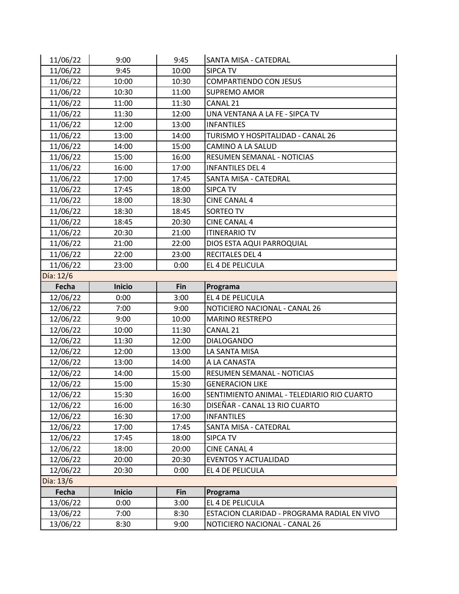| 11/06/22  | 9:00          | 9:45  | SANTA MISA - CATEDRAL                       |
|-----------|---------------|-------|---------------------------------------------|
| 11/06/22  | 9:45          | 10:00 | <b>SIPCA TV</b>                             |
| 11/06/22  | 10:00         | 10:30 | <b>COMPARTIENDO CON JESUS</b>               |
| 11/06/22  | 10:30         | 11:00 | <b>SUPREMO AMOR</b>                         |
| 11/06/22  | 11:00         | 11:30 | CANAL 21                                    |
| 11/06/22  | 11:30         | 12:00 | UNA VENTANA A LA FE - SIPCA TV              |
| 11/06/22  | 12:00         | 13:00 | <b>INFANTILES</b>                           |
| 11/06/22  | 13:00         | 14:00 | TURISMO Y HOSPITALIDAD - CANAL 26           |
| 11/06/22  | 14:00         | 15:00 | CAMINO A LA SALUD                           |
| 11/06/22  | 15:00         | 16:00 | RESUMEN SEMANAL - NOTICIAS                  |
| 11/06/22  | 16:00         | 17:00 | <b>INFANTILES DEL 4</b>                     |
| 11/06/22  | 17:00         | 17:45 | SANTA MISA - CATEDRAL                       |
| 11/06/22  | 17:45         | 18:00 | <b>SIPCA TV</b>                             |
| 11/06/22  | 18:00         | 18:30 | <b>CINE CANAL 4</b>                         |
| 11/06/22  | 18:30         | 18:45 | SORTEO TV                                   |
| 11/06/22  | 18:45         | 20:30 | <b>CINE CANAL 4</b>                         |
| 11/06/22  | 20:30         | 21:00 | <b>ITINERARIO TV</b>                        |
| 11/06/22  | 21:00         | 22:00 | DIOS ESTA AQUI PARROQUIAL                   |
| 11/06/22  | 22:00         | 23:00 | <b>RECITALES DEL 4</b>                      |
| 11/06/22  | 23:00         | 0:00  | EL 4 DE PELICULA                            |
| Día: 12/6 |               |       |                                             |
| Fecha     | <b>Inicio</b> | Fin   | Programa                                    |
|           |               |       |                                             |
| 12/06/22  | 0:00          | 3:00  | EL 4 DE PELICULA                            |
| 12/06/22  | 7:00          | 9:00  | NOTICIERO NACIONAL - CANAL 26               |
| 12/06/22  | 9:00          | 10:00 | <b>MARINO RESTREPO</b>                      |
| 12/06/22  | 10:00         | 11:30 | CANAL 21                                    |
| 12/06/22  | 11:30         | 12:00 | <b>DIALOGANDO</b>                           |
| 12/06/22  | 12:00         | 13:00 | LA SANTA MISA                               |
| 12/06/22  | 13:00         | 14:00 | A LA CANASTA                                |
| 12/06/22  | 14:00         | 15:00 | RESUMEN SEMANAL - NOTICIAS                  |
| 12/06/22  | 15:00         | 15:30 | <b>GENERACION LIKE</b>                      |
| 12/06/22  | 15:30         | 16:00 | SENTIMIENTO ANIMAL - TELEDIARIO RIO CUARTO  |
| 12/06/22  | 16:00         | 16:30 | DISEÑAR - CANAL 13 RIO CUARTO               |
| 12/06/22  | 16:30         | 17:00 | <b>INFANTILES</b>                           |
| 12/06/22  | 17:00         | 17:45 | SANTA MISA - CATEDRAL                       |
| 12/06/22  | 17:45         | 18:00 | <b>SIPCA TV</b>                             |
| 12/06/22  | 18:00         | 20:00 | <b>CINE CANAL 4</b>                         |
| 12/06/22  | 20:00         | 20:30 | <b>EVENTOS Y ACTUALIDAD</b>                 |
| 12/06/22  | 20:30         | 0:00  | EL 4 DE PELICULA                            |
| Día: 13/6 |               |       |                                             |
| Fecha     | <b>Inicio</b> | Fin   | Programa                                    |
| 13/06/22  | 0:00          | 3:00  | EL 4 DE PELICULA                            |
| 13/06/22  | 7:00          | 8:30  | ESTACION CLARIDAD - PROGRAMA RADIAL EN VIVO |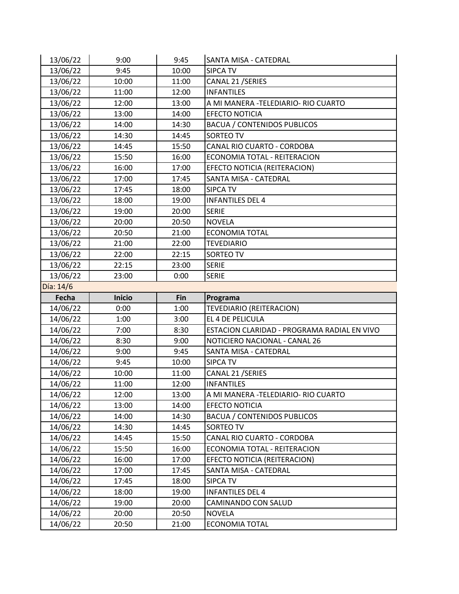| 13/06/22  | 9:00          | 9:45  | SANTA MISA - CATEDRAL                       |
|-----------|---------------|-------|---------------------------------------------|
| 13/06/22  | 9:45          | 10:00 | <b>SIPCA TV</b>                             |
| 13/06/22  | 10:00         | 11:00 | CANAL 21 / SERIES                           |
| 13/06/22  | 11:00         | 12:00 | <b>INFANTILES</b>                           |
| 13/06/22  | 12:00         | 13:00 | A MI MANERA - TELEDIARIO- RIO CUARTO        |
| 13/06/22  | 13:00         | 14:00 | <b>EFECTO NOTICIA</b>                       |
| 13/06/22  | 14:00         | 14:30 | <b>BACUA / CONTENIDOS PUBLICOS</b>          |
| 13/06/22  | 14:30         | 14:45 | SORTEO TV                                   |
| 13/06/22  | 14:45         | 15:50 | CANAL RIO CUARTO - CORDOBA                  |
| 13/06/22  | 15:50         | 16:00 | ECONOMIA TOTAL - REITERACION                |
| 13/06/22  | 16:00         | 17:00 | EFECTO NOTICIA (REITERACION)                |
| 13/06/22  | 17:00         | 17:45 | SANTA MISA - CATEDRAL                       |
| 13/06/22  | 17:45         | 18:00 | <b>SIPCA TV</b>                             |
| 13/06/22  | 18:00         | 19:00 | <b>INFANTILES DEL 4</b>                     |
| 13/06/22  | 19:00         | 20:00 | <b>SERIE</b>                                |
| 13/06/22  | 20:00         | 20:50 | <b>NOVELA</b>                               |
| 13/06/22  | 20:50         | 21:00 | <b>ECONOMIA TOTAL</b>                       |
| 13/06/22  | 21:00         | 22:00 | <b>TEVEDIARIO</b>                           |
| 13/06/22  | 22:00         | 22:15 | SORTEO TV                                   |
| 13/06/22  | 22:15         | 23:00 | <b>SERIE</b>                                |
| 13/06/22  | 23:00         | 0:00  | <b>SERIE</b>                                |
| Día: 14/6 |               |       |                                             |
|           |               |       |                                             |
| Fecha     | <b>Inicio</b> | Fin   | Programa                                    |
| 14/06/22  | 0:00          | 1:00  | TEVEDIARIO (REITERACION)                    |
| 14/06/22  | 1:00          | 3:00  | EL 4 DE PELICULA                            |
| 14/06/22  | 7:00          | 8:30  | ESTACION CLARIDAD - PROGRAMA RADIAL EN VIVO |
| 14/06/22  | 8:30          | 9:00  | NOTICIERO NACIONAL - CANAL 26               |
| 14/06/22  | 9:00          | 9:45  | SANTA MISA - CATEDRAL                       |
| 14/06/22  | 9:45          | 10:00 | <b>SIPCA TV</b>                             |
| 14/06/22  | 10:00         | 11:00 | CANAL 21 / SERIES                           |
| 14/06/22  | 11:00         | 12:00 | <b>INFANTILES</b>                           |
| 14/06/22  | 12:00         | 13:00 | A MI MANERA - TELEDIARIO- RIO CUARTO        |
| 14/06/22  | 13:00         | 14:00 | <b>EFECTO NOTICIA</b>                       |
| 14/06/22  | 14:00         | 14:30 | <b>BACUA / CONTENIDOS PUBLICOS</b>          |
| 14/06/22  | 14:30         | 14:45 | SORTEO TV                                   |
| 14/06/22  | 14:45         | 15:50 | CANAL RIO CUARTO - CORDOBA                  |
| 14/06/22  | 15:50         | 16:00 | ECONOMIA TOTAL - REITERACION                |
| 14/06/22  | 16:00         | 17:00 | EFECTO NOTICIA (REITERACION)                |
| 14/06/22  | 17:00         | 17:45 | SANTA MISA - CATEDRAL                       |
| 14/06/22  | 17:45         | 18:00 | <b>SIPCA TV</b>                             |
| 14/06/22  | 18:00         | 19:00 | <b>INFANTILES DEL 4</b>                     |
| 14/06/22  | 19:00         | 20:00 | CAMINANDO CON SALUD                         |
| 14/06/22  | 20:00         | 20:50 | <b>NOVELA</b>                               |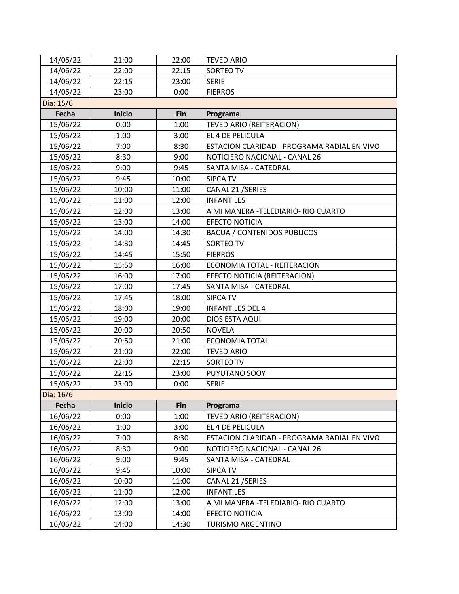| 14/06/22  | 21:00         | 22:00 | <b>TEVEDIARIO</b>                           |
|-----------|---------------|-------|---------------------------------------------|
| 14/06/22  | 22:00         | 22:15 | SORTEO TV                                   |
| 14/06/22  | 22:15         | 23:00 | <b>SERIE</b>                                |
| 14/06/22  | 23:00         | 0:00  | <b>FIERROS</b>                              |
| Día: 15/6 |               |       |                                             |
| Fecha     | <b>Inicio</b> | Fin   | Programa                                    |
| 15/06/22  | 0:00          | 1:00  | TEVEDIARIO (REITERACION)                    |
| 15/06/22  | 1:00          | 3:00  | EL 4 DE PELICULA                            |
| 15/06/22  | 7:00          | 8:30  | ESTACION CLARIDAD - PROGRAMA RADIAL EN VIVO |
| 15/06/22  | 8:30          | 9:00  | NOTICIERO NACIONAL - CANAL 26               |
| 15/06/22  | 9:00          | 9:45  | SANTA MISA - CATEDRAL                       |
| 15/06/22  | 9:45          | 10:00 | <b>SIPCA TV</b>                             |
| 15/06/22  | 10:00         | 11:00 | CANAL 21 / SERIES                           |
| 15/06/22  | 11:00         | 12:00 | <b>INFANTILES</b>                           |
| 15/06/22  | 12:00         | 13:00 | A MI MANERA -TELEDIARIO- RIO CUARTO         |
| 15/06/22  | 13:00         | 14:00 | <b>EFECTO NOTICIA</b>                       |
| 15/06/22  | 14:00         | 14:30 | <b>BACUA / CONTENIDOS PUBLICOS</b>          |
| 15/06/22  | 14:30         | 14:45 | <b>SORTEO TV</b>                            |
| 15/06/22  | 14:45         | 15:50 | <b>FIERROS</b>                              |
| 15/06/22  | 15:50         | 16:00 | ECONOMIA TOTAL - REITERACION                |
| 15/06/22  | 16:00         | 17:00 | EFECTO NOTICIA (REITERACION)                |
| 15/06/22  | 17:00         | 17:45 | SANTA MISA - CATEDRAL                       |
| 15/06/22  | 17:45         | 18:00 | <b>SIPCA TV</b>                             |
| 15/06/22  | 18:00         | 19:00 | <b>INFANTILES DEL 4</b>                     |
| 15/06/22  | 19:00         | 20:00 | DIOS ESTA AQUI                              |
| 15/06/22  | 20:00         | 20:50 | <b>NOVELA</b>                               |
| 15/06/22  | 20:50         | 21:00 | <b>ECONOMIA TOTAL</b>                       |
| 15/06/22  | 21:00         | 22:00 | <b>TEVEDIARIO</b>                           |
| 15/06/22  | 22:00         | 22:15 | <b>SORTEO TV</b>                            |
| 15/06/22  | 22:15         | 23:00 | PUYUTANO SOOY                               |
| 15/06/22  | 23:00         | 0:00  | <b>SERIE</b>                                |
| Día: 16/6 |               |       |                                             |
| Fecha     | <b>Inicio</b> | Fin   | Programa                                    |
| 16/06/22  | 0:00          | 1:00  | TEVEDIARIO (REITERACION)                    |
| 16/06/22  | 1:00          | 3:00  | EL 4 DE PELICULA                            |
| 16/06/22  | 7:00          | 8:30  | ESTACION CLARIDAD - PROGRAMA RADIAL EN VIVO |
| 16/06/22  | 8:30          | 9:00  | NOTICIERO NACIONAL - CANAL 26               |
| 16/06/22  | 9:00          | 9:45  | SANTA MISA - CATEDRAL                       |
| 16/06/22  | 9:45          | 10:00 | SIPCA TV                                    |
| 16/06/22  | 10:00         | 11:00 | CANAL 21 / SERIES                           |
| 16/06/22  | 11:00         | 12:00 | <b>INFANTILES</b>                           |
| 16/06/22  | 12:00         | 13:00 | A MI MANERA - TELEDIARIO - RIO CUARTO       |
| 16/06/22  | 13:00         | 14:00 | <b>EFECTO NOTICIA</b>                       |
| 16/06/22  | 14:00         | 14:30 | <b>TURISMO ARGENTINO</b>                    |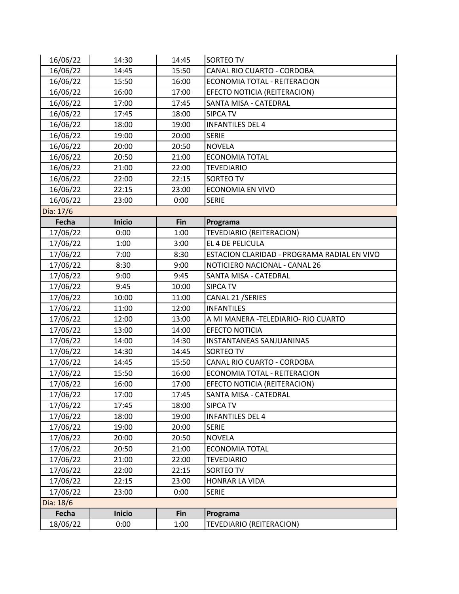| 16/06/22  | 14:30         | 14:45 | SORTEO TV                                   |
|-----------|---------------|-------|---------------------------------------------|
| 16/06/22  | 14:45         | 15:50 | CANAL RIO CUARTO - CORDOBA                  |
| 16/06/22  | 15:50         | 16:00 | ECONOMIA TOTAL - REITERACION                |
| 16/06/22  | 16:00         | 17:00 | EFECTO NOTICIA (REITERACION)                |
| 16/06/22  | 17:00         | 17:45 | SANTA MISA - CATEDRAL                       |
| 16/06/22  | 17:45         | 18:00 | <b>SIPCA TV</b>                             |
| 16/06/22  | 18:00         | 19:00 | <b>INFANTILES DEL 4</b>                     |
| 16/06/22  | 19:00         | 20:00 | <b>SERIE</b>                                |
| 16/06/22  | 20:00         | 20:50 | <b>NOVELA</b>                               |
| 16/06/22  | 20:50         | 21:00 | <b>ECONOMIA TOTAL</b>                       |
| 16/06/22  | 21:00         | 22:00 | <b>TEVEDIARIO</b>                           |
| 16/06/22  | 22:00         | 22:15 | SORTEO TV                                   |
| 16/06/22  | 22:15         | 23:00 | <b>ECONOMIA EN VIVO</b>                     |
| 16/06/22  | 23:00         | 0:00  | <b>SERIE</b>                                |
| Día: 17/6 |               |       |                                             |
| Fecha     | <b>Inicio</b> | Fin   | Programa                                    |
| 17/06/22  | 0:00          | 1:00  | TEVEDIARIO (REITERACION)                    |
| 17/06/22  | 1:00          | 3:00  | EL 4 DE PELICULA                            |
| 17/06/22  | 7:00          | 8:30  | ESTACION CLARIDAD - PROGRAMA RADIAL EN VIVO |
| 17/06/22  | 8:30          | 9:00  | NOTICIERO NACIONAL - CANAL 26               |
| 17/06/22  | 9:00          | 9:45  | SANTA MISA - CATEDRAL                       |
| 17/06/22  | 9:45          | 10:00 | <b>SIPCA TV</b>                             |
| 17/06/22  | 10:00         | 11:00 | CANAL 21 / SERIES                           |
| 17/06/22  | 11:00         | 12:00 | <b>INFANTILES</b>                           |
| 17/06/22  | 12:00         | 13:00 | A MI MANERA - TELEDIARIO- RIO CUARTO        |
| 17/06/22  | 13:00         | 14:00 | <b>EFECTO NOTICIA</b>                       |
| 17/06/22  | 14:00         | 14:30 | INSTANTANEAS SANJUANINAS                    |
| 17/06/22  | 14:30         | 14:45 | SORTEO TV                                   |
| 17/06/22  | 14:45         | 15:50 | CANAL RIO CUARTO - CORDOBA                  |
| 17/06/22  | 15:50         | 16:00 | ECONOMIA TOTAL - REITERACION                |
| 17/06/22  | 16:00         | 17:00 | EFECTO NOTICIA (REITERACION)                |
| 17/06/22  | 17:00         | 17:45 | SANTA MISA - CATEDRAL                       |
| 17/06/22  | 17:45         | 18:00 | <b>SIPCA TV</b>                             |
| 17/06/22  | 18:00         | 19:00 | <b>INFANTILES DEL 4</b>                     |
| 17/06/22  | 19:00         | 20:00 | <b>SERIE</b>                                |
| 17/06/22  | 20:00         | 20:50 | <b>NOVELA</b>                               |
| 17/06/22  | 20:50         | 21:00 | <b>ECONOMIA TOTAL</b>                       |
| 17/06/22  | 21:00         | 22:00 | <b>TEVEDIARIO</b>                           |
| 17/06/22  | 22:00         | 22:15 | SORTEO TV                                   |
| 17/06/22  | 22:15         | 23:00 | HONRAR LA VIDA                              |
| 17/06/22  | 23:00         | 0:00  | <b>SERIE</b>                                |
| Día: 18/6 |               |       |                                             |
| Fecha     | <b>Inicio</b> | Fin   | Programa                                    |
| 18/06/22  | 0:00          | 1:00  | TEVEDIARIO (REITERACION)                    |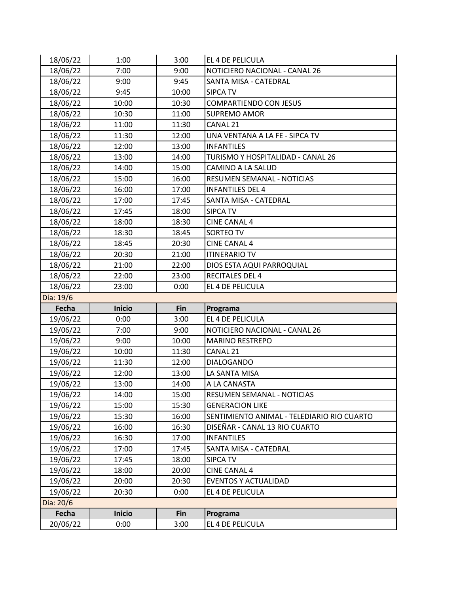| 18/06/22  | 1:00          | 3:00  | EL 4 DE PELICULA                           |
|-----------|---------------|-------|--------------------------------------------|
| 18/06/22  | 7:00          | 9:00  | NOTICIERO NACIONAL - CANAL 26              |
| 18/06/22  | 9:00          | 9:45  | SANTA MISA - CATEDRAL                      |
| 18/06/22  | 9:45          | 10:00 | <b>SIPCA TV</b>                            |
| 18/06/22  | 10:00         | 10:30 | <b>COMPARTIENDO CON JESUS</b>              |
| 18/06/22  | 10:30         | 11:00 | <b>SUPREMO AMOR</b>                        |
| 18/06/22  | 11:00         | 11:30 | CANAL 21                                   |
| 18/06/22  | 11:30         | 12:00 | UNA VENTANA A LA FE - SIPCA TV             |
| 18/06/22  | 12:00         | 13:00 | <b>INFANTILES</b>                          |
| 18/06/22  | 13:00         | 14:00 | TURISMO Y HOSPITALIDAD - CANAL 26          |
| 18/06/22  | 14:00         | 15:00 | CAMINO A LA SALUD                          |
| 18/06/22  | 15:00         | 16:00 | RESUMEN SEMANAL - NOTICIAS                 |
| 18/06/22  | 16:00         | 17:00 | <b>INFANTILES DEL 4</b>                    |
| 18/06/22  | 17:00         | 17:45 | SANTA MISA - CATEDRAL                      |
| 18/06/22  | 17:45         | 18:00 | <b>SIPCA TV</b>                            |
| 18/06/22  | 18:00         | 18:30 | <b>CINE CANAL 4</b>                        |
| 18/06/22  | 18:30         | 18:45 | SORTEO TV                                  |
| 18/06/22  | 18:45         | 20:30 | <b>CINE CANAL 4</b>                        |
| 18/06/22  | 20:30         | 21:00 | <b>ITINERARIO TV</b>                       |
| 18/06/22  | 21:00         | 22:00 | DIOS ESTA AQUI PARROQUIAL                  |
| 18/06/22  | 22:00         | 23:00 | <b>RECITALES DEL 4</b>                     |
| 18/06/22  | 23:00         | 0:00  | EL 4 DE PELICULA                           |
|           |               |       |                                            |
| Día: 19/6 |               |       |                                            |
| Fecha     | <b>Inicio</b> | Fin   | Programa                                   |
| 19/06/22  | 0:00          | 3:00  | EL 4 DE PELICULA                           |
| 19/06/22  | 7:00          | 9:00  | NOTICIERO NACIONAL - CANAL 26              |
| 19/06/22  | 9:00          | 10:00 | <b>MARINO RESTREPO</b>                     |
| 19/06/22  | 10:00         | 11:30 | CANAL 21                                   |
| 19/06/22  | 11:30         | 12:00 | <b>DIALOGANDO</b>                          |
| 19/06/22  | 12:00         | 13:00 | LA SANTA MISA                              |
| 19/06/22  | 13:00         | 14:00 | A LA CANASTA                               |
| 19/06/22  | 14:00         | 15:00 | RESUMEN SEMANAL - NOTICIAS                 |
| 19/06/22  | 15:00         | 15:30 | <b>GENERACION LIKE</b>                     |
| 19/06/22  | 15:30         | 16:00 | SENTIMIENTO ANIMAL - TELEDIARIO RIO CUARTO |
| 19/06/22  | 16:00         | 16:30 | DISEÑAR - CANAL 13 RIO CUARTO              |
| 19/06/22  | 16:30         | 17:00 | <b>INFANTILES</b>                          |
| 19/06/22  | 17:00         | 17:45 | SANTA MISA - CATEDRAL                      |
| 19/06/22  | 17:45         | 18:00 | <b>SIPCA TV</b>                            |
| 19/06/22  | 18:00         | 20:00 | <b>CINE CANAL 4</b>                        |
| 19/06/22  | 20:00         | 20:30 | <b>EVENTOS Y ACTUALIDAD</b>                |
| 19/06/22  | 20:30         | 0:00  | EL 4 DE PELICULA                           |
| Día: 20/6 |               |       |                                            |
| Fecha     | <b>Inicio</b> | Fin   | Programa                                   |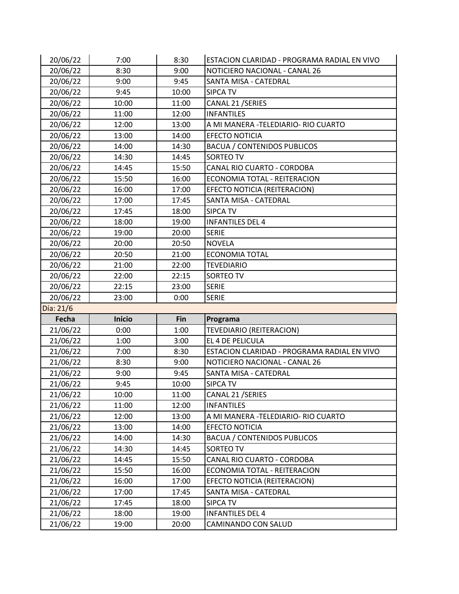| 20/06/22  | 7:00          | 8:30  | ESTACION CLARIDAD - PROGRAMA RADIAL EN VIVO |
|-----------|---------------|-------|---------------------------------------------|
| 20/06/22  | 8:30          | 9:00  | NOTICIERO NACIONAL - CANAL 26               |
| 20/06/22  | 9:00          | 9:45  | SANTA MISA - CATEDRAL                       |
| 20/06/22  | 9:45          | 10:00 | <b>SIPCA TV</b>                             |
| 20/06/22  | 10:00         | 11:00 | CANAL 21 / SERIES                           |
| 20/06/22  | 11:00         | 12:00 | <b>INFANTILES</b>                           |
| 20/06/22  | 12:00         | 13:00 | A MI MANERA - TELEDIARIO- RIO CUARTO        |
| 20/06/22  | 13:00         | 14:00 | <b>EFECTO NOTICIA</b>                       |
| 20/06/22  | 14:00         | 14:30 | <b>BACUA / CONTENIDOS PUBLICOS</b>          |
| 20/06/22  | 14:30         | 14:45 | SORTEO TV                                   |
| 20/06/22  | 14:45         | 15:50 | CANAL RIO CUARTO - CORDOBA                  |
| 20/06/22  | 15:50         | 16:00 | ECONOMIA TOTAL - REITERACION                |
| 20/06/22  | 16:00         | 17:00 | EFECTO NOTICIA (REITERACION)                |
| 20/06/22  | 17:00         | 17:45 | SANTA MISA - CATEDRAL                       |
| 20/06/22  | 17:45         | 18:00 | <b>SIPCA TV</b>                             |
| 20/06/22  | 18:00         | 19:00 | <b>INFANTILES DEL 4</b>                     |
| 20/06/22  | 19:00         | 20:00 | <b>SERIE</b>                                |
| 20/06/22  | 20:00         | 20:50 | <b>NOVELA</b>                               |
| 20/06/22  | 20:50         | 21:00 | <b>ECONOMIA TOTAL</b>                       |
| 20/06/22  | 21:00         | 22:00 | <b>TEVEDIARIO</b>                           |
| 20/06/22  | 22:00         | 22:15 | SORTEO TV                                   |
| 20/06/22  | 22:15         | 23:00 | <b>SERIE</b>                                |
|           |               |       |                                             |
| 20/06/22  | 23:00         | 0:00  | <b>SERIE</b>                                |
| Día: 21/6 |               |       |                                             |
| Fecha     | <b>Inicio</b> | Fin   | Programa                                    |
| 21/06/22  | 0:00          | 1:00  | TEVEDIARIO (REITERACION)                    |
| 21/06/22  | 1:00          | 3:00  | EL 4 DE PELICULA                            |
| 21/06/22  | 7:00          | 8:30  | ESTACION CLARIDAD - PROGRAMA RADIAL EN VIVO |
| 21/06/22  | 8:30          | 9:00  | NOTICIERO NACIONAL - CANAL 26               |
| 21/06/22  | 9:00          | 9:45  | SANTA MISA - CATEDRAL                       |
| 21/06/22  | 9:45          | 10:00 | <b>SIPCA TV</b>                             |
| 21/06/22  | 10:00         | 11:00 | CANAL 21 / SERIES                           |
| 21/06/22  | 11:00         | 12:00 | <b>INFANTILES</b>                           |
| 21/06/22  | 12:00         | 13:00 | A MI MANERA - TELEDIARIO - RIO CUARTO       |
| 21/06/22  | 13:00         | 14:00 | <b>EFECTO NOTICIA</b>                       |
| 21/06/22  | 14:00         | 14:30 | <b>BACUA / CONTENIDOS PUBLICOS</b>          |
| 21/06/22  | 14:30         | 14:45 | SORTEO TV                                   |
| 21/06/22  | 14:45         | 15:50 | CANAL RIO CUARTO - CORDOBA                  |
| 21/06/22  | 15:50         | 16:00 | ECONOMIA TOTAL - REITERACION                |
| 21/06/22  | 16:00         | 17:00 | EFECTO NOTICIA (REITERACION)                |
| 21/06/22  | 17:00         | 17:45 | SANTA MISA - CATEDRAL                       |
| 21/06/22  | 17:45         | 18:00 | <b>SIPCA TV</b>                             |
| 21/06/22  | 18:00         | 19:00 | <b>INFANTILES DEL 4</b>                     |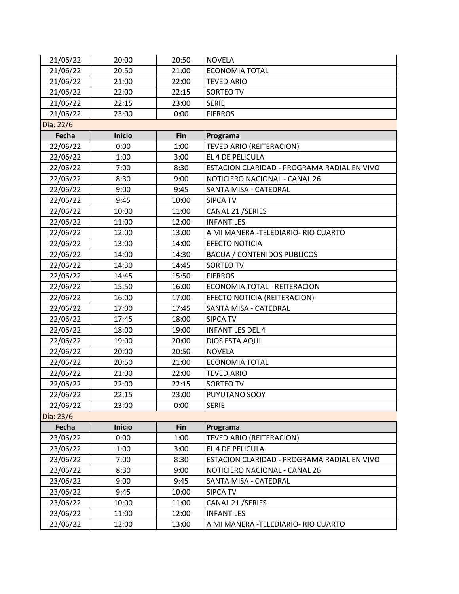| 21/06/22  | 20:00         | 20:50      | <b>NOVELA</b>                               |
|-----------|---------------|------------|---------------------------------------------|
| 21/06/22  | 20:50         | 21:00      | <b>ECONOMIA TOTAL</b>                       |
| 21/06/22  | 21:00         | 22:00      | <b>TEVEDIARIO</b>                           |
| 21/06/22  | 22:00         | 22:15      | <b>SORTEO TV</b>                            |
| 21/06/22  | 22:15         | 23:00      | <b>SERIE</b>                                |
| 21/06/22  | 23:00         | 0:00       | <b>FIERROS</b>                              |
| Día: 22/6 |               |            |                                             |
| Fecha     | <b>Inicio</b> | <b>Fin</b> | Programa                                    |
| 22/06/22  | 0:00          | 1:00       | TEVEDIARIO (REITERACION)                    |
| 22/06/22  | 1:00          | 3:00       | EL 4 DE PELICULA                            |
| 22/06/22  | 7:00          | 8:30       | ESTACION CLARIDAD - PROGRAMA RADIAL EN VIVO |
| 22/06/22  | 8:30          | 9:00       | NOTICIERO NACIONAL - CANAL 26               |
| 22/06/22  | 9:00          | 9:45       | SANTA MISA - CATEDRAL                       |
| 22/06/22  | 9:45          | 10:00      | <b>SIPCA TV</b>                             |
| 22/06/22  | 10:00         | 11:00      | CANAL 21 / SERIES                           |
| 22/06/22  | 11:00         | 12:00      | <b>INFANTILES</b>                           |
| 22/06/22  | 12:00         | 13:00      | A MI MANERA -TELEDIARIO- RIO CUARTO         |
| 22/06/22  | 13:00         | 14:00      | <b>EFECTO NOTICIA</b>                       |
| 22/06/22  | 14:00         | 14:30      | <b>BACUA / CONTENIDOS PUBLICOS</b>          |
| 22/06/22  | 14:30         | 14:45      | SORTEO TV                                   |
| 22/06/22  | 14:45         | 15:50      | <b>FIERROS</b>                              |
| 22/06/22  | 15:50         | 16:00      | ECONOMIA TOTAL - REITERACION                |
| 22/06/22  | 16:00         | 17:00      | EFECTO NOTICIA (REITERACION)                |
| 22/06/22  | 17:00         | 17:45      | SANTA MISA - CATEDRAL                       |
| 22/06/22  | 17:45         | 18:00      | <b>SIPCA TV</b>                             |
| 22/06/22  | 18:00         | 19:00      | <b>INFANTILES DEL 4</b>                     |
| 22/06/22  | 19:00         | 20:00      | DIOS ESTA AQUI                              |
| 22/06/22  | 20:00         | 20:50      | <b>NOVELA</b>                               |
| 22/06/22  | 20:50         | 21:00      | <b>ECONOMIA TOTAL</b>                       |
| 22/06/22  | 21:00         | 22:00      | <b>TEVEDIARIO</b>                           |
| 22/06/22  | 22:00         | 22:15      | <b>SORTEO TV</b>                            |
| 22/06/22  | 22:15         | 23:00      | PUYUTANO SOOY                               |
| 22/06/22  | 23:00         | 0:00       | <b>SERIE</b>                                |
| Día: 23/6 |               |            |                                             |
| Fecha     | <b>Inicio</b> | Fin        | Programa                                    |
| 23/06/22  | 0:00          | 1:00       | TEVEDIARIO (REITERACION)                    |
| 23/06/22  | 1:00          | 3:00       | EL 4 DE PELICULA                            |
| 23/06/22  | 7:00          | 8:30       | ESTACION CLARIDAD - PROGRAMA RADIAL EN VIVO |
| 23/06/22  | 8:30          | 9:00       | NOTICIERO NACIONAL - CANAL 26               |
| 23/06/22  | 9:00          | 9:45       | SANTA MISA - CATEDRAL                       |
| 23/06/22  | 9:45          | 10:00      | <b>SIPCA TV</b>                             |
| 23/06/22  | 10:00         | 11:00      | CANAL 21 / SERIES                           |
| 23/06/22  | 11:00         | 12:00      | <b>INFANTILES</b>                           |
| 23/06/22  | 12:00         | 13:00      | A MI MANERA - TELEDIARIO- RIO CUARTO        |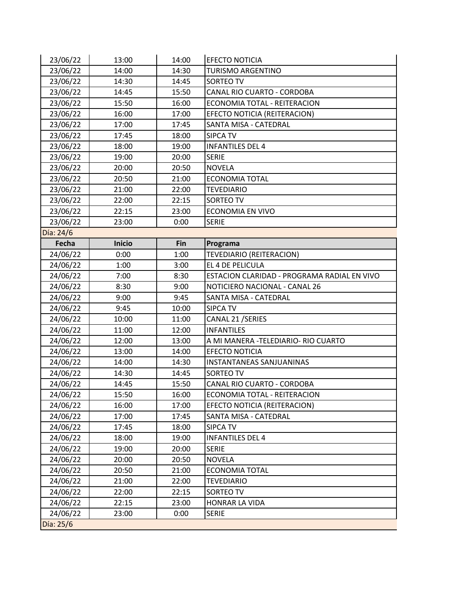| 23/06/22  | 13:00         | 14:00 | <b>EFECTO NOTICIA</b>                       |
|-----------|---------------|-------|---------------------------------------------|
| 23/06/22  | 14:00         | 14:30 | <b>TURISMO ARGENTINO</b>                    |
| 23/06/22  | 14:30         | 14:45 | SORTEO TV                                   |
| 23/06/22  | 14:45         | 15:50 | CANAL RIO CUARTO - CORDOBA                  |
| 23/06/22  | 15:50         | 16:00 | ECONOMIA TOTAL - REITERACION                |
| 23/06/22  | 16:00         | 17:00 | EFECTO NOTICIA (REITERACION)                |
| 23/06/22  | 17:00         | 17:45 | SANTA MISA - CATEDRAL                       |
| 23/06/22  | 17:45         | 18:00 | <b>SIPCA TV</b>                             |
| 23/06/22  | 18:00         | 19:00 | <b>INFANTILES DEL 4</b>                     |
| 23/06/22  | 19:00         | 20:00 | <b>SERIE</b>                                |
| 23/06/22  | 20:00         | 20:50 | <b>NOVELA</b>                               |
| 23/06/22  | 20:50         | 21:00 | <b>ECONOMIA TOTAL</b>                       |
| 23/06/22  | 21:00         | 22:00 | <b>TEVEDIARIO</b>                           |
| 23/06/22  | 22:00         | 22:15 | SORTEO TV                                   |
| 23/06/22  | 22:15         | 23:00 | <b>ECONOMIA EN VIVO</b>                     |
| 23/06/22  | 23:00         | 0:00  | <b>SERIE</b>                                |
| Día: 24/6 |               |       |                                             |
| Fecha     | <b>Inicio</b> | Fin   | Programa                                    |
| 24/06/22  | 0:00          | 1:00  | <b>TEVEDIARIO (REITERACION)</b>             |
| 24/06/22  | 1:00          | 3:00  | EL 4 DE PELICULA                            |
| 24/06/22  | 7:00          | 8:30  | ESTACION CLARIDAD - PROGRAMA RADIAL EN VIVO |
| 24/06/22  | 8:30          | 9:00  | NOTICIERO NACIONAL - CANAL 26               |
| 24/06/22  | 9:00          | 9:45  | SANTA MISA - CATEDRAL                       |
| 24/06/22  | 9:45          | 10:00 | <b>SIPCA TV</b>                             |
| 24/06/22  | 10:00         | 11:00 | CANAL 21 / SERIES                           |
| 24/06/22  | 11:00         | 12:00 | <b>INFANTILES</b>                           |
| 24/06/22  | 12:00         | 13:00 | A MI MANERA - TELEDIARIO- RIO CUARTO        |
| 24/06/22  | 13:00         | 14:00 | <b>EFECTO NOTICIA</b>                       |
| 24/06/22  | 14:00         | 14:30 | INSTANTANEAS SANJUANINAS                    |
| 24/06/22  | 14:30         | 14:45 | SORTEO TV                                   |
| 24/06/22  | 14:45         | 15:50 | CANAL RIO CUARTO - CORDOBA                  |
| 24/06/22  | 15:50         | 16:00 | ECONOMIA TOTAL - REITERACION                |
| 24/06/22  | 16:00         | 17:00 | EFECTO NOTICIA (REITERACION)                |
| 24/06/22  | 17:00         | 17:45 | SANTA MISA - CATEDRAL                       |
| 24/06/22  | 17:45         | 18:00 | SIPCA TV                                    |
| 24/06/22  | 18:00         | 19:00 | <b>INFANTILES DEL 4</b>                     |
| 24/06/22  | 19:00         | 20:00 | <b>SERIE</b>                                |
| 24/06/22  | 20:00         | 20:50 | <b>NOVELA</b>                               |
| 24/06/22  | 20:50         | 21:00 | <b>ECONOMIA TOTAL</b>                       |
| 24/06/22  | 21:00         | 22:00 | <b>TEVEDIARIO</b>                           |
| 24/06/22  | 22:00         | 22:15 | SORTEO TV                                   |
| 24/06/22  | 22:15         | 23:00 | HONRAR LA VIDA                              |
| 24/06/22  | 23:00         | 0:00  | <b>SERIE</b>                                |
| Día: 25/6 |               |       |                                             |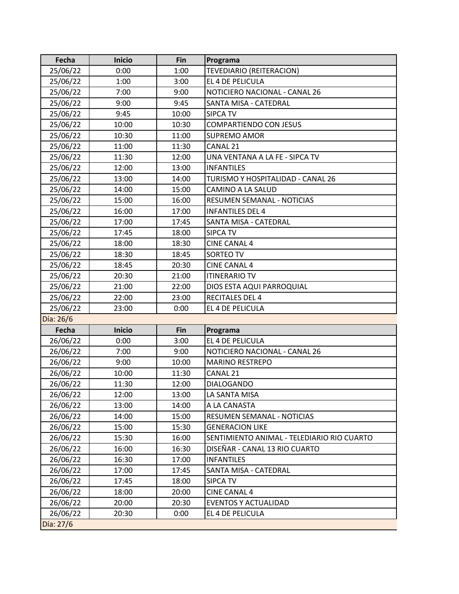| Fecha     | <b>Inicio</b> | Fin        | Programa                                   |
|-----------|---------------|------------|--------------------------------------------|
| 25/06/22  | 0:00          | 1:00       | <b>TEVEDIARIO (REITERACION)</b>            |
| 25/06/22  | 1:00          | 3:00       | EL 4 DE PELICULA                           |
| 25/06/22  | 7:00          | 9:00       | NOTICIERO NACIONAL - CANAL 26              |
| 25/06/22  | 9:00          | 9:45       | SANTA MISA - CATEDRAL                      |
| 25/06/22  | 9:45          | 10:00      | <b>SIPCA TV</b>                            |
| 25/06/22  | 10:00         | 10:30      | <b>COMPARTIENDO CON JESUS</b>              |
| 25/06/22  | 10:30         | 11:00      | <b>SUPREMO AMOR</b>                        |
| 25/06/22  | 11:00         | 11:30      | CANAL 21                                   |
| 25/06/22  | 11:30         | 12:00      | UNA VENTANA A LA FE - SIPCA TV             |
| 25/06/22  | 12:00         | 13:00      | <b>INFANTILES</b>                          |
| 25/06/22  | 13:00         | 14:00      | TURISMO Y HOSPITALIDAD - CANAL 26          |
| 25/06/22  | 14:00         | 15:00      | CAMINO A LA SALUD                          |
| 25/06/22  | 15:00         | 16:00      | RESUMEN SEMANAL - NOTICIAS                 |
| 25/06/22  | 16:00         | 17:00      | <b>INFANTILES DEL 4</b>                    |
| 25/06/22  | 17:00         | 17:45      | SANTA MISA - CATEDRAL                      |
| 25/06/22  | 17:45         | 18:00      | <b>SIPCA TV</b>                            |
| 25/06/22  | 18:00         | 18:30      | <b>CINE CANAL 4</b>                        |
| 25/06/22  | 18:30         | 18:45      | <b>SORTEO TV</b>                           |
| 25/06/22  | 18:45         | 20:30      | <b>CINE CANAL 4</b>                        |
| 25/06/22  | 20:30         | 21:00      | <b>ITINERARIO TV</b>                       |
| 25/06/22  | 21:00         | 22:00      | DIOS ESTA AQUI PARROQUIAL                  |
| 25/06/22  | 22:00         | 23:00      | <b>RECITALES DEL 4</b>                     |
| 25/06/22  | 23:00         | 0:00       | EL 4 DE PELICULA                           |
| Día: 26/6 |               |            |                                            |
| Fecha     | <b>Inicio</b> | <b>Fin</b> | Programa                                   |
| 26/06/22  | 0:00          | 3:00       | EL 4 DE PELICULA                           |
| 26/06/22  | 7:00          | 9:00       | NOTICIERO NACIONAL - CANAL 26              |
| 26/06/22  | 9:00          | 10:00      | <b>MARINO RESTREPO</b>                     |
| 26/06/22  | 10:00         | 11:30      | CANAL 21                                   |
| 26/06/22  | 11:30         | 12:00      | <b>DIALOGANDO</b>                          |
| 26/06/22  | 12:00         | 13:00      | LA SANTA MISA                              |
| 26/06/22  | 13:00         | 14:00      | A LA CANASTA                               |
| 26/06/22  | 14:00         | 15:00      | RESUMEN SEMANAL - NOTICIAS                 |
| 26/06/22  | 15:00         | 15:30      | <b>GENERACION LIKE</b>                     |
| 26/06/22  | 15:30         | 16:00      | SENTIMIENTO ANIMAL - TELEDIARIO RIO CUARTO |
| 26/06/22  | 16:00         | 16:30      | DISEÑAR - CANAL 13 RIO CUARTO              |
| 26/06/22  | 16:30         | 17:00      | <b>INFANTILES</b>                          |
| 26/06/22  | 17:00         | 17:45      | SANTA MISA - CATEDRAL                      |
| 26/06/22  | 17:45         | 18:00      | <b>SIPCA TV</b>                            |
| 26/06/22  | 18:00         | 20:00      | <b>CINE CANAL 4</b>                        |
| 26/06/22  | 20:00         | 20:30      | <b>EVENTOS Y ACTUALIDAD</b>                |
| 26/06/22  | 20:30         | 0:00       | EL 4 DE PELICULA                           |
| Día: 27/6 |               |            |                                            |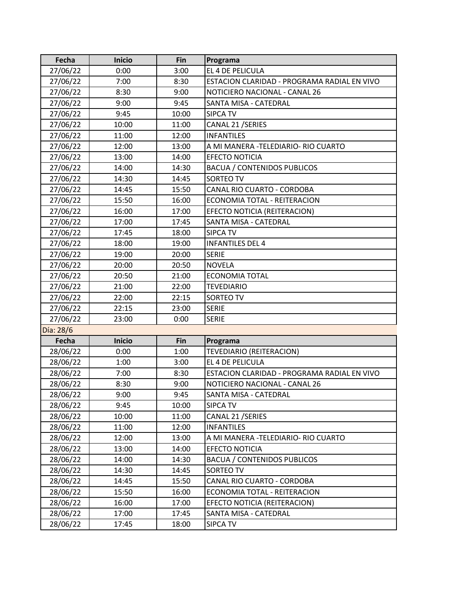| Fecha     | <b>Inicio</b> | Fin   | Programa                                    |
|-----------|---------------|-------|---------------------------------------------|
| 27/06/22  | 0:00          | 3:00  | EL 4 DE PELICULA                            |
| 27/06/22  | 7:00          | 8:30  | ESTACION CLARIDAD - PROGRAMA RADIAL EN VIVO |
| 27/06/22  | 8:30          | 9:00  | NOTICIERO NACIONAL - CANAL 26               |
| 27/06/22  | 9:00          | 9:45  | SANTA MISA - CATEDRAL                       |
| 27/06/22  | 9:45          | 10:00 | <b>SIPCA TV</b>                             |
| 27/06/22  | 10:00         | 11:00 | CANAL 21 / SERIES                           |
| 27/06/22  | 11:00         | 12:00 | <b>INFANTILES</b>                           |
| 27/06/22  | 12:00         | 13:00 | A MI MANERA - TELEDIARIO - RIO CUARTO       |
| 27/06/22  | 13:00         | 14:00 | <b>EFECTO NOTICIA</b>                       |
| 27/06/22  | 14:00         | 14:30 | <b>BACUA / CONTENIDOS PUBLICOS</b>          |
| 27/06/22  | 14:30         | 14:45 | SORTEO TV                                   |
| 27/06/22  | 14:45         | 15:50 | CANAL RIO CUARTO - CORDOBA                  |
| 27/06/22  | 15:50         | 16:00 | ECONOMIA TOTAL - REITERACION                |
| 27/06/22  | 16:00         | 17:00 | EFECTO NOTICIA (REITERACION)                |
| 27/06/22  | 17:00         | 17:45 | SANTA MISA - CATEDRAL                       |
| 27/06/22  | 17:45         | 18:00 | <b>SIPCA TV</b>                             |
| 27/06/22  | 18:00         | 19:00 | <b>INFANTILES DEL 4</b>                     |
| 27/06/22  | 19:00         | 20:00 | <b>SERIE</b>                                |
| 27/06/22  | 20:00         | 20:50 | <b>NOVELA</b>                               |
| 27/06/22  | 20:50         | 21:00 | <b>ECONOMIA TOTAL</b>                       |
| 27/06/22  | 21:00         | 22:00 | <b>TEVEDIARIO</b>                           |
| 27/06/22  | 22:00         | 22:15 | SORTEO TV                                   |
| 27/06/22  | 22:15         | 23:00 | <b>SERIE</b>                                |
| 27/06/22  | 23:00         | 0:00  | <b>SERIE</b>                                |
| Día: 28/6 |               |       |                                             |
| Fecha     | <b>Inicio</b> | Fin   | Programa                                    |
| 28/06/22  | 0:00          | 1:00  | TEVEDIARIO (REITERACION)                    |
| 28/06/22  | 1:00          | 3:00  | EL 4 DE PELICULA                            |
| 28/06/22  | 7:00          | 8:30  | ESTACION CLARIDAD - PROGRAMA RADIAL EN VIVO |
| 28/06/22  | 8:30          | 9:00  | NOTICIERO NACIONAL - CANAL 26               |
| 28/06/22  | 9:00          | 9:45  | SANTA MISA - CATEDRAL                       |
| 28/06/22  | 9:45          | 10:00 | <b>SIPCA TV</b>                             |
| 28/06/22  | 10:00         | 11:00 | CANAL 21 / SERIES                           |
| 28/06/22  | 11:00         | 12:00 | <b>INFANTILES</b>                           |
| 28/06/22  | 12:00         | 13:00 | A MI MANERA - TELEDIARIO- RIO CUARTO        |
| 28/06/22  | 13:00         | 14:00 | <b>EFECTO NOTICIA</b>                       |
| 28/06/22  | 14:00         | 14:30 | <b>BACUA / CONTENIDOS PUBLICOS</b>          |
| 28/06/22  | 14:30         | 14:45 | SORTEO TV                                   |
| 28/06/22  | 14:45         | 15:50 | CANAL RIO CUARTO - CORDOBA                  |
| 28/06/22  | 15:50         | 16:00 | ECONOMIA TOTAL - REITERACION                |
| 28/06/22  | 16:00         | 17:00 | EFECTO NOTICIA (REITERACION)                |
| 28/06/22  | 17:00         | 17:45 | SANTA MISA - CATEDRAL                       |
| 28/06/22  | 17:45         | 18:00 | SIPCA TV                                    |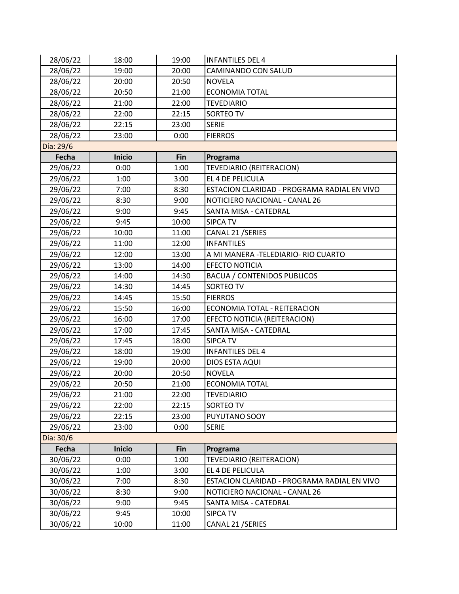| 28/06/22  | 18:00         | 19:00 | <b>INFANTILES DEL 4</b>                     |
|-----------|---------------|-------|---------------------------------------------|
| 28/06/22  | 19:00         | 20:00 | CAMINANDO CON SALUD                         |
| 28/06/22  | 20:00         | 20:50 | <b>NOVELA</b>                               |
| 28/06/22  | 20:50         | 21:00 | <b>ECONOMIA TOTAL</b>                       |
| 28/06/22  | 21:00         | 22:00 | <b>TEVEDIARIO</b>                           |
| 28/06/22  | 22:00         | 22:15 | SORTEO TV                                   |
| 28/06/22  | 22:15         | 23:00 | <b>SERIE</b>                                |
| 28/06/22  | 23:00         | 0:00  | <b>FIERROS</b>                              |
| Día: 29/6 |               |       |                                             |
| Fecha     | <b>Inicio</b> | Fin   | Programa                                    |
| 29/06/22  | 0:00          | 1:00  | TEVEDIARIO (REITERACION)                    |
| 29/06/22  | 1:00          | 3:00  | EL 4 DE PELICULA                            |
| 29/06/22  | 7:00          | 8:30  | ESTACION CLARIDAD - PROGRAMA RADIAL EN VIVO |
| 29/06/22  | 8:30          | 9:00  | NOTICIERO NACIONAL - CANAL 26               |
| 29/06/22  | 9:00          | 9:45  | SANTA MISA - CATEDRAL                       |
| 29/06/22  | 9:45          | 10:00 | <b>SIPCA TV</b>                             |
| 29/06/22  | 10:00         | 11:00 | CANAL 21 / SERIES                           |
| 29/06/22  | 11:00         | 12:00 | <b>INFANTILES</b>                           |
| 29/06/22  | 12:00         | 13:00 | A MI MANERA - TELEDIARIO- RIO CUARTO        |
| 29/06/22  | 13:00         | 14:00 | <b>EFECTO NOTICIA</b>                       |
| 29/06/22  | 14:00         | 14:30 | <b>BACUA / CONTENIDOS PUBLICOS</b>          |
| 29/06/22  | 14:30         | 14:45 | SORTEO TV                                   |
| 29/06/22  | 14:45         | 15:50 | <b>FIERROS</b>                              |
| 29/06/22  | 15:50         | 16:00 | ECONOMIA TOTAL - REITERACION                |
| 29/06/22  | 16:00         | 17:00 | EFECTO NOTICIA (REITERACION)                |
| 29/06/22  | 17:00         | 17:45 | SANTA MISA - CATEDRAL                       |
| 29/06/22  | 17:45         | 18:00 | <b>SIPCA TV</b>                             |
| 29/06/22  | 18:00         | 19:00 | <b>INFANTILES DEL 4</b>                     |
| 29/06/22  | 19:00         | 20:00 | DIOS ESTA AQUI                              |
| 29/06/22  | 20:00         | 20:50 | <b>NOVELA</b>                               |
| 29/06/22  | 20:50         | 21:00 | <b>ECONOMIA TOTAL</b>                       |
| 29/06/22  | 21:00         | 22:00 | <b>TEVEDIARIO</b>                           |
| 29/06/22  | 22:00         | 22:15 | SORTEO TV                                   |
| 29/06/22  | 22:15         | 23:00 | PUYUTANO SOOY                               |
| 29/06/22  | 23:00         | 0:00  | <b>SERIE</b>                                |
| Día: 30/6 |               |       |                                             |
| Fecha     | <b>Inicio</b> | Fin   | Programa                                    |
| 30/06/22  | 0:00          | 1:00  | TEVEDIARIO (REITERACION)                    |
| 30/06/22  | 1:00          | 3:00  | EL 4 DE PELICULA                            |
| 30/06/22  | 7:00          | 8:30  | ESTACION CLARIDAD - PROGRAMA RADIAL EN VIVO |
| 30/06/22  | 8:30          | 9:00  | NOTICIERO NACIONAL - CANAL 26               |
| 30/06/22  | 9:00          | 9:45  | SANTA MISA - CATEDRAL                       |
| 30/06/22  | 9:45          | 10:00 | <b>SIPCA TV</b>                             |
| 30/06/22  | 10:00         | 11:00 | CANAL 21 / SERIES                           |